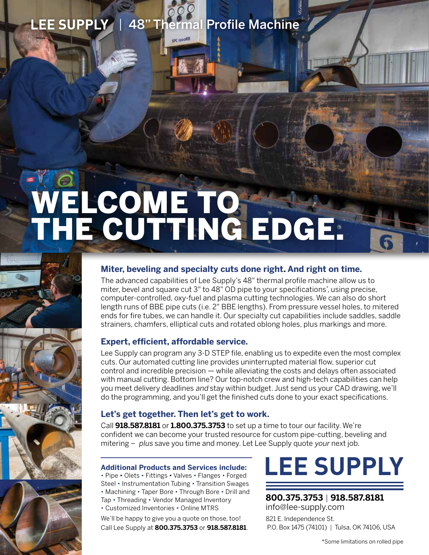### LEE SUPPLY | 48" Thermal Profile Machine

SPC 1200RB

# WELCOME TO THE CUTTING EDGE.



The advanced capabilities of Lee Supply's 48" thermal profile machine allow us to miter, bevel and square cut 3" to 48" OD pipe to your specifications\* , using precise, computer-controlled, oxy-fuel and plasma cutting technologies. We can also do short length runs of BBE pipe cuts (i.e. 2" BBE lengths). From pressure vessel holes, to mitered ends for fire tubes, we can handle it. Our specialty cut capabilities include saddles, saddle strainers, chamfers, elliptical cuts and rotated oblong holes, plus markings and more.

#### **Expert, efficient, affordable service.**

Lee Supply can program any 3-D STEP file, enabling us to expedite even the most complex cuts. Our automated cutting line provides uninterrupted material flow, superior cut control and incredible precision — while alleviating the costs and delays often associated with manual cutting. Bottom line? Our top-notch crew and high-tech capabilities can help you meet delivery deadlines and stay within budget. Just send us your CAD drawing, we'll do the programming, and you'll get the finished cuts done to your exact specifications.

#### **Let's get together. Then let's get to work.**

Call **918.587.8181** or **1.800.375.3753** to set up a time to tour our facility. We're confident we can become your trusted resource for custom pipe-cutting, beveling and mitering – plus save you time and money. Let Lee Supply quote your next job.

#### **Additional Products and Services include:**

• Pipe • Olets • Fittings • Valves • Flanges • Forged Steel • Instrumentation Tubing • Transition Swages • Machining • Taper Bore • Through Bore • Drill and Tap • Threading • Vendor Managed Inventory • Customized Inventories • Online MTRS

We'll be happy to give you a quote on those, too! Call Lee Supply at **800.375.3753** or **918.587.8181**.

## **LEE SUPPLY**

#### **800.375.3753** | **918.587.8181** [info@lee-supply.com](mailto:info@lee-supply.com)

821 E. Independence St. P.O. Box 1475 (74101) | Tulsa, OK 74106, USA